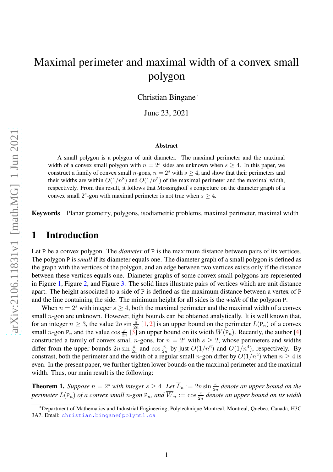# Maximal perimeter and maximal width of a convex small polygon

Christian Bingane<sup>∗</sup>

June 23, 2021

#### **Abstract**

A small polygon is a polygon of unit diameter. The maximal perimeter and the maximal width of a convex small polygon with  $n = 2<sup>s</sup>$  sides are unknown when  $s \ge 4$ . In this paper, we construct a family of convex small n-gons,  $n = 2<sup>s</sup>$  with  $s \ge 4$ , and show that their perimeters and their widths are within  $O(1/n^8)$  and  $O(1/n^5)$  of the maximal perimeter and the maximal width, respectively. From this result, it follows that Mossinghoff's conjecture on the diameter graph of a convex small  $2<sup>s</sup>$ -gon with maximal perimeter is not true when  $s \ge 4$ .

**Keywords** Planar geometry, polygons, isodiametric problems, maximal perimeter, maximal width

#### **1 Introduction**

Let P be a convex polygon. The *diameter* of P is the maximum distance between pairs of its vertices. The polygon P is *small* if its diameter equals one. The diameter graph of a small polygon is defined as the graph with the vertices of the polygon, and an edge between two vertices exists only if the distance between these vertices equals one. Diameter graphs of some convex small polygons are represented in Figure [1,](#page-1-0) Figure [2,](#page-2-0) and Figure [3.](#page-2-1) The solid lines illustrate pairs of vertices which are unit distance apart. The height associated to a side of P is defined as the maximum distance between a vertex of P and the line containing the side. The minimum height for all sides is the *width* of the polygon P.

When  $n = 2<sup>s</sup>$  with integer  $s > 4$ , both the maximal perimeter and the maximal width of a convex small *n*-gon are unknown. However, tight bounds can be obtained analytically. It is well known that, for an integer  $n \ge 3$ , the value  $2n \sin \frac{\pi}{2n}$  [\[1,](#page-9-0) [2\]](#page-9-1) is an upper bound on the perimeter  $L(\mathsf{P}_n)$  of a convex small *n*-gon P<sub>n</sub> and the value  $\cos \frac{\pi}{2n}$  [\[3\]](#page-9-2) an upper bound on its width  $W(P_n)$ . Recently, the author [\[4\]](#page-9-3) constructed a family of convex small n-gons, for  $n = 2<sup>s</sup>$  with  $s \ge 2$ , whose perimeters and widths differ from the upper bounds  $2n \sin \frac{\pi}{2n}$  and  $\cos \frac{\pi}{2n}$  by just  $O(1/n^6)$  and  $O(1/n^4)$ , respectively. By constrast, both the perimeter and the width of a regular small *n*-gon differ by  $O(1/n^2)$  when  $n \ge 4$  is even. In the present paper, we further tighten lower bounds on the maximal perimeter and the maximal width. Thus, our main result is the following:

<span id="page-0-0"></span>**Theorem 1.** *Suppose*  $n = 2^s$  *with integer*  $s \geq 4$ . Let  $\overline{L}_n := 2n \sin \frac{\pi}{2n}$  denote an upper bound on the *perimeter*  $L(\mathsf{P}_n)$  *of a convex small n-gon*  $\mathsf{P}_n$ *, and*  $\overline{W}_n := \cos \frac{\pi}{2n}$  *denote an upper bound on its width* 

<sup>∗</sup>Department of Mathematics and Industrial Engineering, Polytechnique Montreal, Montreal, Quebec, Canada, H3C 3A7. Email: <christian.bingane@polymtl.ca>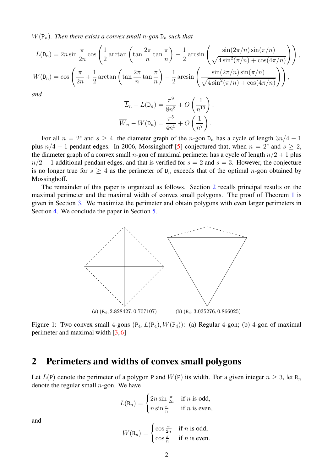$W(\mathsf{P}_n)$ *. Then there exists a convex small n-gon*  $\mathsf{D}_n$  *such that* 

$$
L(\mathsf{D}_n) = 2n \sin \frac{\pi}{2n} \cos \left( \frac{1}{2} \arctan \left( \tan \frac{2\pi}{n} \tan \frac{\pi}{n} \right) - \frac{1}{2} \arcsin \left( \frac{\sin(2\pi/n) \sin(\pi/n)}{\sqrt{4 \sin^2(\pi/n) + \cos(4\pi/n)}} \right) \right),
$$
  

$$
W(\mathsf{D}_n) = \cos \left( \frac{\pi}{2n} + \frac{1}{2} \arctan \left( \tan \frac{2\pi}{n} \tan \frac{\pi}{n} \right) - \frac{1}{2} \arcsin \left( \frac{\sin(2\pi/n) \sin(\pi/n)}{\sqrt{4 \sin^2(\pi/n) + \cos(4\pi/n)}} \right) \right),
$$

*and*

$$
\overline{L}_n - L(\mathsf{D}_n) = \frac{\pi^9}{8n^8} + O\left(\frac{1}{n^{10}}\right),
$$
  

$$
\overline{W}_n - W(\mathsf{D}_n) = \frac{\pi^5}{4n^5} + O\left(\frac{1}{n^7}\right).
$$

For all  $n = 2^s$  and  $s \ge 4$ , the diameter graph of the n-gon  $D_n$  has a cycle of length  $3n/4 - 1$ plus  $n/4 + 1$  pendant edges. In 2006, Mossinghoff [\[5\]](#page-9-4) conjectured that, when  $n = 2<sup>s</sup>$  and  $s \ge 2$ , the diameter graph of a convex small *n*-gon of maximal perimeter has a cycle of length  $n/2 + 1$  plus  $n/2 - 1$  additional pendant edges, and that is verified for  $s = 2$  and  $s = 3$ . However, the conjecture is no longer true for  $s \geq 4$  as the perimeter of  $D_n$  exceeds that of the optimal n-gon obtained by Mossinghoff.

<span id="page-1-0"></span>The remainder of this paper is organized as follows. Section [2](#page-1-1) recalls principal results on the maximal perimeter and the maximal width of convex small polygons. The proof of Theorem [1](#page-0-0) is given in Section [3.](#page-3-0) We maximize the perimeter and obtain polygons with even larger perimeters in Section [4.](#page-7-0) We conclude the paper in Section [5.](#page-9-5)



Figure 1: Two convex small 4-gons  $(P_4, L(P_4), W(P_4))$ : (a) Regular 4-gon; (b) 4-gon of maximal perimeter and maximal width [\[3,](#page-9-2) [6\]](#page-9-6)

#### <span id="page-1-1"></span>**2 Perimeters and widths of convex small polygons**

Let  $L(P)$  denote the perimeter of a polygon P and  $W(P)$  its width. For a given integer  $n \geq 3$ , let R<sub>n</sub> denote the regular small  $n$ -gon. We have

<span id="page-1-2"></span>
$$
L(\mathbf{R}_n) = \begin{cases} 2n \sin \frac{\pi}{2n} & \text{if } n \text{ is odd,} \\ n \sin \frac{\pi}{n} & \text{if } n \text{ is even,} \end{cases}
$$

and

$$
W(\mathbf{R}_n) = \begin{cases} \cos \frac{\pi}{2n} & \text{if } n \text{ is odd,} \\ \cos \frac{\pi}{n} & \text{if } n \text{ is even.} \end{cases}
$$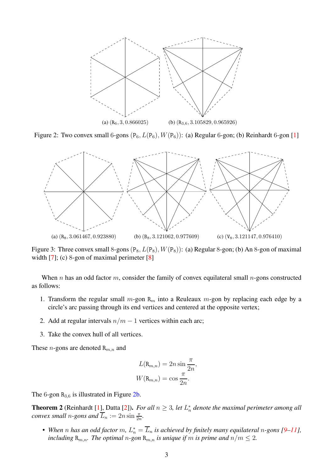<span id="page-2-2"></span><span id="page-2-0"></span>

<span id="page-2-1"></span>Figure 2: Two convex small 6-gons  $(P_6, L(P_6), W(P_6))$ : (a) Regular 6-gon; (b) Reinhardt 6-gon [\[1\]](#page-9-0)



<span id="page-2-4"></span>Figure 3: Three convex small 8-gons  $(P_8, L(P_8), W(P_8))$ : (a) Regular 8-gon; (b) An 8-gon of maximal width [\[7\]](#page-9-7); (c) 8-gon of maximal perimeter [\[8\]](#page-9-8)

When n has an odd factor m, consider the family of convex equilateral small  $n$ -gons constructed as follows:

- 1. Transform the regular small  $m$ -gon  $R_m$  into a Reuleaux  $m$ -gon by replacing each edge by a circle's arc passing through its end vertices and centered at the opposite vertex;
- 2. Add at regular intervals  $n/m 1$  vertices within each arc;
- 3. Take the convex hull of all vertices.

These *n*-gons are denoted  $R_{m,n}$  and

<span id="page-2-3"></span>
$$
L(\mathbf{R}_{m,n}) = 2n \sin \frac{\pi}{2n},
$$
  

$$
W(\mathbf{R}_{m,n}) = \cos \frac{\pi}{2n}.
$$

The 6-gon  $R_{3,6}$  is illustrated in Figure [2b.](#page-2-2)

**Theorem 2** (Reinhardt [\[1\]](#page-9-0), Datta [\[2\]](#page-9-1)). *For all*  $n \geq 3$ , *let*  $L_n^*$ n *denote the maximal perimeter among all convex small n*-gons and  $\overline{L}_n := 2n \sin \frac{\pi}{2n}$ .

• When  $n$  has an odd factor  $m$ ,  $L_n^* = \overline{L}_n$  is achieved by finitely many equilateral  $n$ -gons [\[9](#page-9-9)[–11\]](#page-9-10), *including*  $\mathbb{R}_{m,n}$ *. The optimal*  $n$ *-gon*  $\mathbb{R}_{m,n}$  *is unique if*  $m$  *is prime and*  $n/m \leq 2$ *.*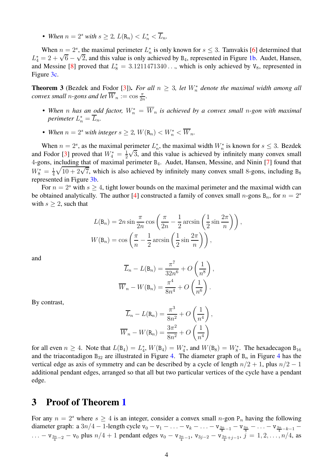• When  $n = 2^s$  with  $s \geq 2$ ,  $L(\mathbf{R}_n) < L_n^* < \overline{L}_n$ .

When  $n = 2<sup>s</sup>$ , the maximal perimeter  $L_n^*$  $\frac{1}{n}$  is only known for  $s \leq 3$ . Tamvakis [\[6\]](#page-9-6) determined that  $L_4^* = 2 + \sqrt{6} - \sqrt{2}$ , and this value is only achieved by B<sub>4</sub>, represented in Figure [1b.](#page-1-2) Audet, Hansen, and Messine [\[8\]](#page-9-8) proved that  $L_8^* = 3.1211471340...$ , which is only achieved by  $V_8$ , represented in Figure [3c.](#page-2-3)

**Theorem 3** (Bezdek and Fodor [\[3\]](#page-9-2)). For all  $n \geq 3$ , let  $W_n^*$  denote the maximal width among all *convex small n-gons and let*  $\overline{W}_n := \cos \frac{\pi}{2n}$ *.* 

- When *n* has an odd factor,  $W_n^* = \overline{W}_n$  is achieved by a convex small n-gon with maximal *perimeter*  $L_n^* = \overline{L}_n$ .
- When  $n = 2^s$  with integer  $s \geq 2$ ,  $W(\mathbf{R}_n) < W_n^* < \overline{W}_n$ .

When  $n = 2<sup>s</sup>$ , as the maximal perimeter  $L_n^*$ \*, the maximal width  $W_n^*$  is known for  $s \leq 3$ . Bezdek and Fodor [\[3\]](#page-9-2) proved that  $W_4^* = \frac{1}{2}$ 2  $\sqrt{3}$ , and this value is achieved by infinitely many convex small 4-gons, including that of maximal perimeter B<sub>4</sub>. Audet, Hansen, Messine, and Ninin [\[7\]](#page-9-7) found that  $W_8^* = \frac{1}{4}$  $\frac{1}{4}\sqrt{10+2\sqrt{7}}$ , which is also achieved by infinitely many convex small 8-gons, including B<sub>8</sub> represented in Figure [3b.](#page-2-4)

For  $n = 2<sup>s</sup>$  with  $s > 4$ , tight lower bounds on the maximal perimeter and the maximal width can be obtained analytically. The author [\[4\]](#page-9-3) constructed a family of convex small n-gons  $B_n$ , for  $n = 2<sup>s</sup>$ with  $s \geq 2$ , such that

$$
L(\mathsf{B}_n) = 2n \sin \frac{\pi}{2n} \cos \left( \frac{\pi}{2n} - \frac{1}{2} \arcsin \left( \frac{1}{2} \sin \frac{2\pi}{n} \right) \right),
$$
  

$$
W(\mathsf{B}_n) = \cos \left( \frac{\pi}{n} - \frac{1}{2} \arcsin \left( \frac{1}{2} \sin \frac{2\pi}{n} \right) \right),
$$

and

$$
\overline{L}_n - L(\mathsf{B}_n) = \frac{\pi^7}{32n^6} + O\left(\frac{1}{n^8}\right),
$$
  

$$
\overline{W}_n - W(\mathsf{B}_n) = \frac{\pi^4}{8n^4} + O\left(\frac{1}{n^6}\right).
$$

By contrast,

$$
\overline{L}_n - L(\mathbf{R}_n) = \frac{\pi^3}{8n^2} + O\left(\frac{1}{n^4}\right),
$$
  

$$
\overline{W}_n - W(\mathbf{R}_n) = \frac{3\pi^2}{8n^2} + O\left(\frac{1}{n^4}\right)
$$

for all even  $n \geq 4$ . Note that  $L(\mathsf{B}_4) = L_4^*$  $_4^*$ ,  $W(B_4) = W_4^*$ , and  $W(B_8) = W_8^*$ . The hexadecagon  $B_{16}$ and the triacontadigon  $B_{32}$  are illustrated in Figure [4.](#page-4-0) The diameter graph of  $B_n$  in Figure [4](#page-4-0) has the vertical edge as axis of symmetry and can be described by a cycle of length  $n/2 + 1$ , plus  $n/2 - 1$ additional pendant edges, arranged so that all but two particular vertices of the cycle have a pendant edge.

## <span id="page-3-0"></span>**3 Proof of Theorem [1](#page-0-0)**

For any  $n = 2<sup>s</sup>$  where  $s \ge 4$  is an integer, consider a convex small n-gon P<sub>n</sub> having the following diameter graph: a  $3n/4 - 1$ -length cycle  $v_0 - v_1 - \ldots - v_k - \ldots - v_{\frac{3n}{8} - 1} - v_{\frac{3n}{8}} - \ldots - v_{\frac{3n}{4} - k - 1} -$ ... – v<sub>3n</sub><sub>−2</sub> – v<sub>0</sub> plus n/4 + 1 pendant edges v<sub>0</sub> – v<sub>3n</sub><sub>−1</sub>, v<sub>3j−2</sub> – v<sub>3n</sub><sub>4</sub>+<sub>j−1</sub>, j<sup>o</sup> = 1,2,...,<sup>n</sup>/4, as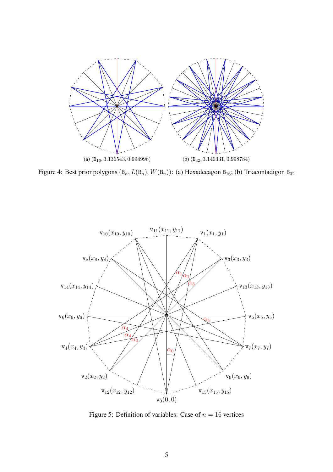<span id="page-4-0"></span>

Figure 4: Best prior polygons  $(B_n, L(B_n), W(B_n))$ : (a) Hexadecagon  $B_{16}$ ; (b) Triacontadigon  $B_{32}$ 

<span id="page-4-1"></span>

Figure 5: Definition of variables: Case of  $n = 16$  vertices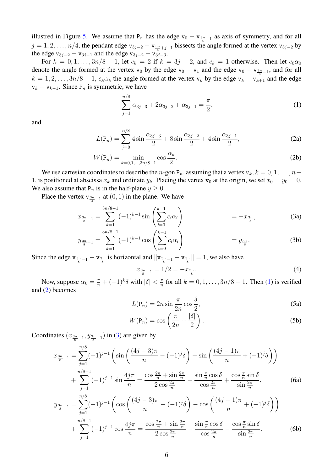illustred in Figure [5.](#page-4-1) We assume that  $P_n$  has the edge  $v_0 - v_{\frac{3n}{4}-1}$  as axis of symmetry, and for all  $j = 1, 2, \ldots, n/4$ , the pendant edge v<sub>3j−2</sub> – v<sub>3n+j−1</sub> bissects the angle formed at the vertex v<sub>3j−2</sub> by the edge  $v_{3j-2} - v_{3j-1}$  and the edge  $v_{3j-2} - v_{3j-3}$ .

For  $k = 0, 1, \ldots, 3n/8 - 1$ , let  $c_k = 2$  if  $k = 3j - 2$ , and  $c_k = 1$  otherwise. Then let  $c_0\alpha_0$ denote the angle formed at the vertex  $v_0$  by the edge  $v_0 - v_1$  and the edge  $v_0 - v_{\frac{3n}{4}-1}$ , and for all  $k = 1, 2, \ldots, 3n/8 - 1$ ,  $c_k \alpha_k$  the angle formed at the vertex  $v_k$  by the edge  $v_k - v_{k+1}$  and the edge  $v_k - v_{k-1}$ . Since P<sub>n</sub> is symmetric, we have

<span id="page-5-6"></span><span id="page-5-0"></span>
$$
\sum_{j=1}^{n/8} \alpha_{3j-3} + 2\alpha_{3j-2} + \alpha_{3j-1} = \frac{\pi}{2},\tag{1}
$$

<span id="page-5-1"></span>and

$$
L(\mathbf{P}_n) = \sum_{j=0}^{n/8} 4 \sin \frac{\alpha_{3j-3}}{2} + 8 \sin \frac{\alpha_{3j-2}}{2} + 4 \sin \frac{\alpha_{3j-1}}{2}, \tag{2a}
$$

$$
W(\mathbf{P}_n) = \min_{k=0,1,\dots,3n/8-1} \cos \frac{\alpha_k}{2}.
$$
 (2b)

We use cartesian coordinates to describe the n-gon  $P_n$ , assuming that a vertex  $v_k$ ,  $k = 0, 1, \ldots, n-$ 1, is positioned at abscissa  $x_k$  and ordinate  $y_k$ . Placing the vertex  $v_0$  at the origin, we set  $x_0 = y_0 = 0$ . We also assume that  $P_n$  is in the half-plane  $y \ge 0$ .

Place the vertex  $v_{\frac{3n}{4}-1}$  at  $(0, 1)$  in the plane. We have

$$
x_{\frac{3n}{8}-1} = \sum_{k=1}^{3n/8-1} (-1)^{k-1} \sin\left(\sum_{i=0}^{k-1} c_i \alpha_i\right) = -x_{\frac{3n}{8}},\tag{3a}
$$

$$
y_{\frac{3n}{8}-1} = \sum_{k=1}^{3n/8-1} (-1)^{k-1} \cos\left(\sum_{i=0}^{k-1} c_i \alpha_i\right) = y_{\frac{3n}{8}}.
$$
 (3b)

Since the edge  $v_{\frac{3n}{8}-1} - v_{\frac{3n}{8}}$  is horizontal and  $||v_{\frac{3n}{8}-1} - v_{\frac{3n}{8}}|| = 1$ , we also have

<span id="page-5-3"></span><span id="page-5-2"></span>
$$
x_{\frac{3n}{8}-1} = 1/2 = -x_{\frac{3n}{8}}.\tag{4}
$$

<span id="page-5-5"></span>Now, suppose  $\alpha_k = \frac{\pi}{n} + (-1)^k \delta$  with  $|\delta| < \frac{\pi}{n}$  $\frac{\pi}{n}$  for all  $k = 0, 1, \ldots, 3n/8 - 1$ . Then [\(1\)](#page-5-0) is verified and [\(2\)](#page-5-1) becomes

$$
L(\mathbf{P}_n) = 2n \sin \frac{\pi}{2n} \cos \frac{\delta}{2},\tag{5a}
$$

<span id="page-5-4"></span>
$$
W(\mathbf{P}_n) = \cos\left(\frac{\pi}{2n} + \frac{|\delta|}{2}\right). \tag{5b}
$$

Coordinates  $(x_{\frac{3n}{8}-1}, y_{\frac{3n}{8}-1})$  in [\(3\)](#page-5-2) are given by

$$
x_{\frac{3n}{8}-1} = \sum_{j=1}^{n/8} (-1)^{j-1} \left( \sin\left(\frac{(4j-3)\pi}{n} - (-1)^j \delta\right) - \sin\left(\frac{(4j-1)\pi}{n} + (-1)^j \delta\right) \right) + \sum_{j=1}^{n/8-1} (-1)^{j-1} \sin\frac{4j\pi}{n} = \frac{\cos\frac{2\pi}{n} + \sin\frac{2\pi}{n}}{2\cos\frac{2\pi}{n}} - \frac{\sin\frac{\pi}{n}\cos\delta}{\cos\frac{2\pi}{n}} + \frac{\cos\frac{\pi}{n}\sin\delta}{\sin\frac{2\pi}{n}},
$$
(6a)  

$$
y_{\frac{3n}{8}-1} = \sum_{j=1}^{n/8} (-1)^{j-1} \left( \cos\left(\frac{(4j-3)\pi}{n} - (-1)^j \delta\right) - \cos\left(\frac{(4j-1)\pi}{n} + (-1)^j \delta\right) \right) + \sum_{j=1}^{n/8-1} (-1)^{j-1} \cos\frac{4j\pi}{n} = \frac{\cos\frac{2\pi}{n} + \sin\frac{2\pi}{n}}{2\cos\frac{2\pi}{n}} - \frac{\sin\frac{\pi}{n}\cos\delta}{\cos\frac{2\pi}{n}} - \frac{\cos\frac{\pi}{n}\sin\delta}{\sin\frac{2\pi}{n}}.
$$
(6b)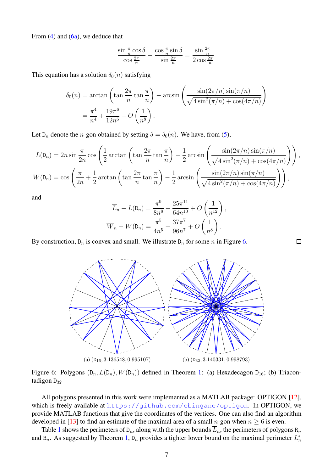From  $(4)$  and  $(6a)$ , we deduce that

$$
\frac{\sin\frac{\pi}{n}\cos\delta}{\cos\frac{2\pi}{n}} - \frac{\cos\frac{\pi}{n}\sin\delta}{\sin\frac{2\pi}{n}} = \frac{\sin\frac{2\pi}{n}}{2\cos\frac{2\pi}{n}}.
$$

This equation has a solution  $\delta_0(n)$  satisfying

$$
\delta_0(n) = \arctan\left(\tan\frac{2\pi}{n}\tan\frac{\pi}{n}\right) - \arcsin\left(\frac{\sin(2\pi/n)\sin(\pi/n)}{\sqrt{4\sin^2(\pi/n) + \cos(4\pi/n)}}\right)
$$

$$
= \frac{\pi^4}{n^4} + \frac{19\pi^6}{12n^6} + O\left(\frac{1}{n^8}\right).
$$

Let  $D_n$  denote the *n*-gon obtained by setting  $\delta = \delta_0(n)$ . We have, from [\(5\)](#page-5-5),

$$
L(\mathsf{D}_n) = 2n \sin \frac{\pi}{2n} \cos \left( \frac{1}{2} \arctan \left( \tan \frac{2\pi}{n} \tan \frac{\pi}{n} \right) - \frac{1}{2} \arcsin \left( \frac{\sin(2\pi/n) \sin(\pi/n)}{\sqrt{4 \sin^2(\pi/n) + \cos(4\pi/n)}} \right) \right),
$$
  

$$
W(\mathsf{D}_n) = \cos \left( \frac{\pi}{2n} + \frac{1}{2} \arctan \left( \tan \frac{2\pi}{n} \tan \frac{\pi}{n} \right) - \frac{1}{2} \arcsin \left( \frac{\sin(2\pi/n) \sin(\pi/n)}{\sqrt{4 \sin^2(\pi/n) + \cos(4\pi/n)}} \right) \right),
$$

and

$$
\overline{L}_n - L(\mathsf{D}_n) = \frac{\pi^9}{8n^8} + \frac{25\pi^{11}}{64n^{10}} + O\left(\frac{1}{n^{12}}\right),
$$
  

$$
\overline{W}_n - W(\mathsf{D}_n) = \frac{\pi^5}{4n^5} + \frac{37\pi^7}{96n^7} + O\left(\frac{1}{n^8}\right).
$$

<span id="page-6-0"></span>By construction,  $D_n$  is convex and small. We illustrate  $D_n$  for some n in Figure [6.](#page-6-0)



Figure 6: Polygons  $(D_n, L(D_n), W(D_n))$  defined in Theorem [1:](#page-0-0) (a) Hexadecagon  $D_{16}$ ; (b) Triacontadigon  $D_{32}$ 

All polygons presented in this work were implemented as a MATLAB package: OPTIGON [\[12\]](#page-10-0), which is freely available at <https://github.com/cbingane/optigon>. In OPTIGON, we provide MATLAB functions that give the coordinates of the vertices. One can also find an algorithm developed in [\[13\]](#page-10-1) to find an estimate of the maximal area of a small n-gon when  $n \ge 6$  is even.

Table [1](#page-7-1) shows the perimeters of  $D_n$ , along with the upper bounds  $\overline{L}_n$ , the perimeters of polygons  $R_n$ and  $B_n$ . As suggested by Theorem [1,](#page-0-0)  $D_n$  provides a tighter lower bound on the maximal perimeter  $L_n^*$ n

 $\Box$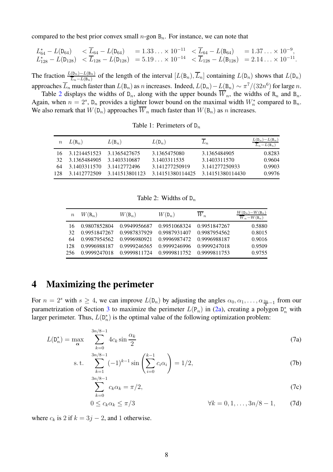compared to the best prior convex small  $n$ -gon  $B_n$ . For instance, we can note that

$$
\begin{array}{llll} L_{64}^* - L(\mathtt{D}_{64}) & < \overline{L}_{64} - L(\mathtt{D}_{64}) & = 1.33\ldots \times 10^{-11} & < \overline{L}_{64} - L(\mathtt{B}_{64}) & = 1.37\ldots \times 10^{-9}, \\ L_{128}^* - L(\mathtt{D}_{128}) & < \overline{L}_{128} - L(\mathtt{D}_{128}) & = 5.19\ldots \times 10^{-14} & < \overline{L}_{128} - L(\mathtt{B}_{128}) & = 2.14\ldots \times 10^{-11}. \end{array}
$$

The fraction  $\frac{L(D_n)-L(B_n)}{\overline{L}_n-L(B_n)}$  of the length of the interval  $[L(B_n), \overline{L}_n]$  containing  $L(D_n)$  shows that  $L(D_n)$ approaches  $\overline{L}_n$  much faster than  $L(\mathsf{B}_n)$  as n increases. Indeed,  $L(\mathsf{D}_n) - L(\mathsf{B}_n) \sim \pi^7/(32n^6)$  for large n.

<span id="page-7-1"></span>Table [2](#page-7-2) displays the widths of  $D_n$ , along with the upper bounds  $\overline{W}_n$ , the widths of  $R_n$  and  $B_n$ . Again, when  $n = 2<sup>s</sup>$ , D<sub>n</sub> provides a tighter lower bound on the maximal width  $W_n^*$  compared to B<sub>n</sub>. We also remark that  $W(D_n)$  approaches  $\overline{W}_n$  much faster than  $W(B_n)$  as n increases.

| Table 1: Perimeters of $D_n$ |  |
|------------------------------|--|
|                              |  |

| $\, n$ | $L(R_n)$     | $L(\mathsf{B}_n)$ | $L(\mathsf{D}_n)$ | $L_n$            | $L(\mathsf{D}_n)-L(\mathsf{B}_n)$<br>$\overline{L}_n - L(\mathsf{B}_n)$ |
|--------|--------------|-------------------|-------------------|------------------|-------------------------------------------------------------------------|
| 16.    | 3.1214451523 | 3.1365427675      | 3.1365475080      | 3.1365484905     | 0.8283                                                                  |
| 32     | 3.1365484905 | 3.1403310687      | 3.1403311535      | 3.1403311570     | 0.9604                                                                  |
| 64     | 3.1403311570 | 3.1412772496      | 3.141277250919    | 3.141277250933   | 0.9903                                                                  |
| 128    | 3.1412772509 | 3.141513801123    | 3.14151380114425  | 3.14151380114430 | 0.9976                                                                  |

<span id="page-7-3"></span>Table 2: Widths of  $D_n$ 

<span id="page-7-2"></span>

| $\boldsymbol{n}$ | $W(\mathbf{R}_n)$ | $W(\mathsf{B}_n)$ | $W(\mathsf{D}_n)$ | $W_n$        | $W(\mathsf{D}_n) - W(\mathsf{B}_n)$<br>$\overline{W}_n-W(\mathsf{B}_n)$ |
|------------------|-------------------|-------------------|-------------------|--------------|-------------------------------------------------------------------------|
| 16               | 0.9807852804      | 0.9949956687      | 0.9951068324      | 0.9951847267 | 0.5880                                                                  |
| 32               | 0.9951847267      | 0.9987837929      | 0.9987931407      | 0.9987954562 | 0.8015                                                                  |
| 64               | 0.9987954562      | 0.9996980921      | 0.9996987472      | 0.9996988187 | 0.9016                                                                  |
| 128              | 0.9996988187      | 0.9999246565      | 0.9999246996      | 0.9999247018 | 0.9509                                                                  |
| 256              | 0.9999247018      | 0.9999811724      | 0.9999811752      | 0.9999811753 | 0.9755                                                                  |

### <span id="page-7-0"></span>**4 Maximizing the perimeter**

For  $n = 2^s$  with  $s \ge 4$ , we can improve  $L(\mathsf{D}_n)$  by adjusting the angles  $\alpha_0, \alpha_1, \dots, \alpha_{\frac{3n}{8}-1}$  from our parametrization of Section [3](#page-3-0) to maximize the perimeter  $L(P_n)$  in [\(2a\)](#page-5-6), creating a polygon  $D_n^*$  with larger perimeter. Thus,  $L(\mathsf{D}_n^*)$  $\binom{n}{n}$  is the optimal value of the following optimization problem:

$$
L(\mathsf{D}_n^*) = \max_{\alpha} \sum_{k=0}^{3n/8 - 1} 4c_k \sin \frac{\alpha_k}{2}
$$
 (7a)

s.t. 
$$
\sum_{k=1}^{3n/8-1} (-1)^{k-1} \sin\left(\sum_{i=0}^{k-1} c_i \alpha_i\right) = 1/2,
$$
 (7b)

$$
\sum_{k=0}^{3n/8-1} c_k \alpha_k = \pi/2,
$$
\n(7c)

$$
0 \le c_k \alpha_k \le \pi/3 \qquad \forall k = 0, 1, ..., 3n/8 - 1, \qquad (7d)
$$

where  $c_k$  is 2 if  $k = 3j - 2$ , and 1 otherwise.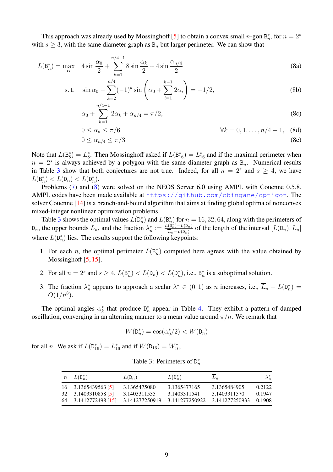This approach was already used by Mossinghoff [\[5\]](#page-9-4) to obtain a convex small n-gon  $B_n^*$  $_n^*$ , for  $n=2^s$ with  $s \geq 3$ , with the same diameter graph as  $B_n$  but larger perimeter. We can show that

$$
L(\mathsf{B}_{n}^{*}) = \max_{\alpha} \quad 4 \sin \frac{\alpha_{0}}{2} + \sum_{k=1}^{n/4 - 1} 8 \sin \frac{\alpha_{k}}{2} + 4 \sin \frac{\alpha_{n/4}}{2}
$$
(8a)

s.t. 
$$
\sin \alpha_0 - \sum_{k=2}^{n/4} (-1)^k \sin \left( \alpha_0 + \sum_{i=1}^{k-1} 2\alpha_i \right) = -1/2,
$$
 (8b)

<span id="page-8-1"></span>
$$
\alpha_0 + \sum_{k=1}^{n/2} 2\alpha_k + \alpha_{n/4} = \pi/2, \tag{8c}
$$

$$
0 \le \alpha_k \le \pi/6 \qquad \forall k = 0, 1, \dots, n/4 - 1, \quad \text{(8d)}
$$

$$
0 \le \alpha_{n/4} \le \pi/3. \tag{8e}
$$

Note that  $L(\mathsf{B}^*_8)$  $\binom{*}{8} = L_8^*$ <sup>\*</sup><sub>8</sub>. Then Mossinghoff asked if  $L(\mathsf{B}_{16}^*) = L_{16}^*$  and if the maximal perimeter when  $n = 2<sup>s</sup>$  is always achieved by a polygon with the same diameter graph as  $B_n$ . Numerical results in Table [3](#page-8-0) show that both conjectures are not true. Indeed, for all  $n = 2<sup>s</sup>$  and  $s \ge 4$ , we have  $L(\mathsf{B}_n^*)$ \*)  $\langle L(\mathsf{D}_n) \rangle \langle L(\mathsf{D}_n^*) \rangle$  $\binom{n}{n}$ .

Problems [\(7\)](#page-7-3) and [\(8\)](#page-8-1) were solved on the NEOS Server 6.0 using AMPL with Couenne 0.5.8. AMPL codes have been made available at <https://github.com/cbingane/optigon>. The solver Couenne [\[14\]](#page-10-2) is a branch-and-bound algorithm that aims at finding global optima of nonconvex mixed-integer nonlinear optimization problems.

Table [3](#page-8-0) shows the optimal values  $\hat{L}(\mathsf{D}_n^*)$  $\binom{n}{n}$  and  $L(\mathsf{B}_{n}^*)$  $\binom{2}{n}$  for  $n = 16, 32, 64$ , along with the perimeters of  $D_n$ , the upper bounds  $\overline{L}_n$ , and the fraction  $\lambda_n^*$  $\frac{\partial}{\partial n} := \frac{L(\mathsf{D}_{n}^*) - L(\mathsf{D}_{n})}{\overline{L}_n - L(\mathsf{D}_{n})}$  $\frac{(D_n^*)-L(D_n)}{\overline{L}_n-L(D_n)}$  of the length of the interval  $[L(D_n), \overline{L}_n]$ where  $L(\mathsf{D}_n^*)$  $\binom{n}{n}$  lies. The results support the following keypoints:

- 1. For each *n*, the optimal perimeter  $L(\mathsf{B}_n^*)$  $\binom{*}{n}$  computed here agrees with the value obtained by Mossinghoff [\[5,](#page-9-4) [15\]](#page-10-3).
- 2. For all  $n = 2^s$  and  $s \ge 4$ ,  $L(\mathsf{B}_n^*)$ \*)  $\langle L(\mathsf{D}_n) \rangle \langle L(\mathsf{D}_n^*) \rangle$  $_n^*$ , i.e.,  $B_n^*$  $\frac{1}{n}$  is a suboptimal solution.
- 3. The fraction  $\lambda_n^*$ <sup>\*</sup>/<sub>n</sub> appears to approach a scalar  $\lambda^* \in (0,1)$  as *n* increases, i.e.,  $\overline{L}_n - L(\mathsf{D}_n^*)$  $\binom{1}{n} =$  $O(1/n^8)$ .

The optimal angles  $\alpha_k^*$  $\underset{k}{\ast}$  that produce  $D_n^*$  $n<sub>n</sub>$  appear in Table [4.](#page-9-11) They exhibit a pattern of damped oscillation, converging in an alterning manner to a mean value around  $\pi/n$ . We remark that

$$
W(\mathbf{D}_n^*) = \cos(\alpha_0^*/2) < W(\mathbf{D}_n)
$$

<span id="page-8-0"></span>for all *n*. We ask if  $L(D_{16}^*) = L_{16}^*$  and if  $W(D_{16}) = W_{16}^*$ .

Table 3: Perimeters of  $D_n^*$ n

|     | $n\quad L(\mathsf{B}_n^*)$                      | $L(\mathsf{D}_n)$ | $L(\mathsf{D}_n^*)$ | $L_n$          | $\lambda_n^*$ |
|-----|-------------------------------------------------|-------------------|---------------------|----------------|---------------|
|     | 16 3.1365439563 [5]                             | 3.1365475080      | 3.1365477165        | 3.1365484905   | 0.2122        |
| 32  | 3.1403310858 [5]                                | 3.1403311535      | 3.1403311541        | 3.1403311570   | 0.1947        |
| -64 | 3.1412772498 [15] 3.141277250919 3.141277250922 |                   |                     | 3.141277250933 | 0.1908        |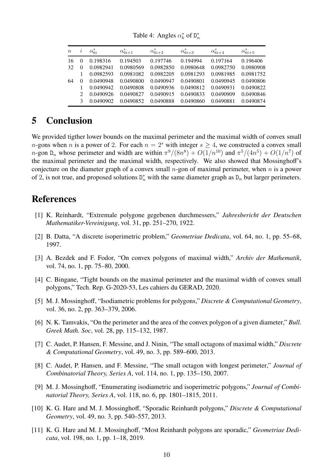<span id="page-9-11"></span>

| $\boldsymbol{n}$ | $\imath$      | $\alpha_{6i}^*$ | $\alpha_{6i+1}^*$ | $\alpha_{6i+2}^*$ | $\alpha_{6i+3}^*$ | $\alpha_{6i+4}^*$ | $\alpha_{6i+5}^*$ |
|------------------|---------------|-----------------|-------------------|-------------------|-------------------|-------------------|-------------------|
| 16               |               | 0.198316        | 0.194503          | 0.197746          | 0.194994          | 0.197164          | 0.196406          |
| 32               |               | 0.0982941       | 0.0980569         | 0.0982850         | 0.0980648         | 0.0982750         | 0.0980908         |
|                  |               | 0.0982593       | 0.0981082         | 0.0982205         | 0.0981293         | 0.0981985         | 0.0981752         |
| 64               | $\theta$      | 0.0490948       | 0.0490800         | 0.0490947         | 0.0490801         | 0.0490945         | 0.0490806         |
|                  |               | 0.0490942       | 0.0490808         | 0.0490936         | 0.0490812         | 0.0490931         | 0.0490822         |
|                  | $\mathcal{D}$ | 0.0490926       | 0.0490827         | 0.0490915         | 0.0490833         | 0.0490909         | 0.0490846         |
|                  | 3             | 0.0490902       | 0.0490852         | 0.0490888         | 0.0490860         | 0.0490881         | 0.0490874         |

Table 4: Angles  $\alpha_k^*$  $_k^*$  of  $D_n^*$ n

# <span id="page-9-5"></span>**5 Conclusion**

We provided tigther lower bounds on the maximal perimeter and the maximal width of convex small *n*-gons when *n* is a power of 2. For each  $n = 2<sup>s</sup>$  with integer  $s \ge 4$ , we constructed a convex small n-gon D<sub>n</sub> whose perimeter and width are within  $\pi^9/(8n^8) + O(1/n^{10})$  and  $\pi^5/(4n^5) + O(1/n^7)$  of the maximal perimeter and the maximal width, respectively. We also showed that Mossinghoff's conjecture on the diameter graph of a convex small  $n$ -gon of maximal perimeter, when  $n$  is a power of 2, is not true, and proposed solutions  $D_n^*$  with the same diameter graph as  $D_n$  but larger perimeters.

#### <span id="page-9-0"></span>**References**

- <span id="page-9-1"></span>[1] K. Reinhardt, "Extremale polygone gegebenen durchmessers," *Jahresbericht der Deutschen Mathematiker-Vereinigung*, vol. 31, pp. 251–270, 1922.
- <span id="page-9-2"></span>[2] B. Datta, "A discrete isoperimetric problem," *Geometriae Dedicata*, vol. 64, no. 1, pp. 55–68, 1997.
- [3] A. Bezdek and F. Fodor, "On convex polygons of maximal width," *Archiv der Mathematik*, vol. 74, no. 1, pp. 75–80, 2000.
- <span id="page-9-3"></span>[4] C. Bingane, "Tight bounds on the maximal perimeter and the maximal width of convex small polygons," Tech. Rep. G-2020-53, Les cahiers du GERAD, 2020.
- <span id="page-9-4"></span>[5] M. J. Mossinghoff, "Isodiametric problems for polygons," *Discrete & Computational Geometry*, vol. 36, no. 2, pp. 363–379, 2006.
- <span id="page-9-6"></span>[6] N. K. Tamvakis, "On the perimeter and the area of the convex polygon of a given diameter," *Bull. Greek Math. Soc*, vol. 28, pp. 115–132, 1987.
- <span id="page-9-7"></span>[7] C. Audet, P. Hansen, F. Messine, and J. Ninin, "The small octagons of maximal width," *Discrete & Computational Geometry*, vol. 49, no. 3, pp. 589–600, 2013.
- <span id="page-9-8"></span>[8] C. Audet, P. Hansen, and F. Messine, "The small octagon with longest perimeter," *Journal of Combinatorial Theory, Series A*, vol. 114, no. 1, pp. 135–150, 2007.
- <span id="page-9-9"></span>[9] M. J. Mossinghoff, "Enumerating isodiametric and isoperimetric polygons," *Journal of Combinatorial Theory, Series A*, vol. 118, no. 6, pp. 1801–1815, 2011.
- [10] K. G. Hare and M. J. Mossinghoff, "Sporadic Reinhardt polygons," *Discrete & Computational Geometry*, vol. 49, no. 3, pp. 540–557, 2013.
- <span id="page-9-10"></span>[11] K. G. Hare and M. J. Mossinghoff, "Most Reinhardt polygons are sporadic," *Geometriae Dedicata*, vol. 198, no. 1, pp. 1–18, 2019.